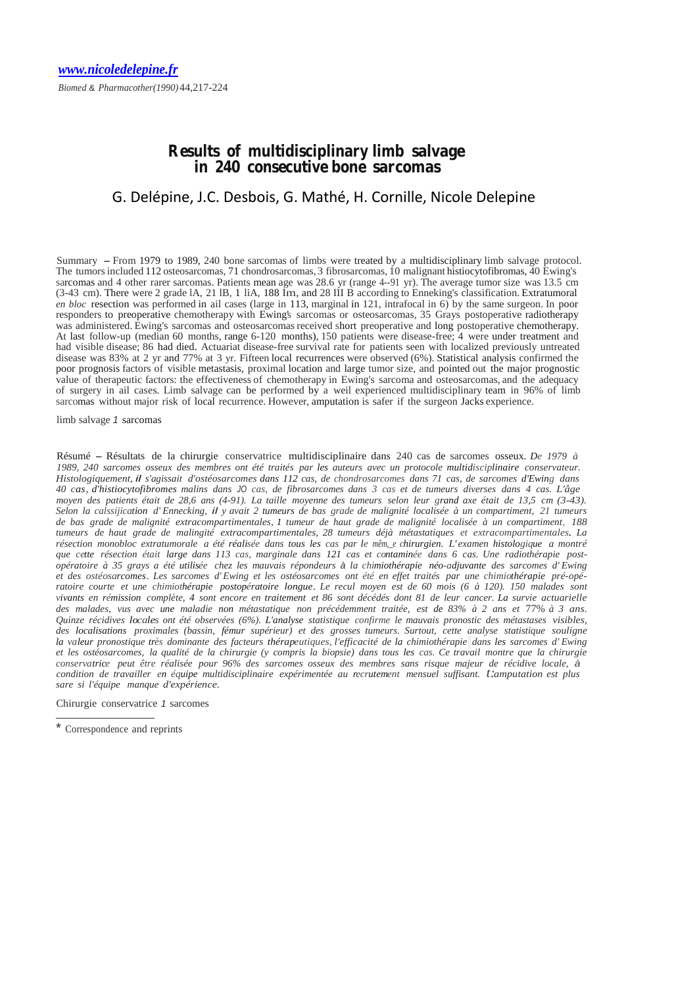# **Results of multidisciplinary limb salvage in 240 consecutive bone sarcomas**

## G. Delépine, J.C. Desbois, G. Mathé, H. Cornille, Nicole Delepine

Summary - From <sup>1979</sup> to 1989, <sup>240</sup> bone sarcomas of limbs were treated by <sup>a</sup> multidisciplinary limb salvage protocol. The tumors included 112 osteosarcomas, 71 chondrosarcomas, 3 fibrosarcomas, 10 malignant histiocytofibromas, 40 Ewing's sarcomas and 4 other rarer sarcomas. Patients mean age was 28.6 yr (range 4--91 yr). The average tumor size was 13.5 cm (3-43 cm). There were 2 grade lA, 21 lB, 1 liA, 188 lm, and 28 III B according to Enneking's classification. Extratumoral *en bloc* resection was performed in ail cases (large in 113, marginal in 121, intrafocal in 6) by the same surgeon. In poor responders to preoperative chemotherapy with Ewing's sarcomas or osteosarcomas, 35 Grays postoperative radiotherapy was administered. Ewing's sarcomas and osteosarcomas received short preoperative and long postoperative chemotherapy. At last follow-up (median 60 months, range 6-120 months), 150 patients were disease-free; 4 were under treatment and had visible disease; <sup>86</sup> had died. Actuariat disease-free survival rate for patients seen with localized previously untreated disease was 83% at 2 yr and 77% at 3 yr. Fifteen local recurrences were observed (6%). Statistical analysis confirmed the poor prognosis factors of visible metastasis, proximal location and large tumor size, and pointed out the major prognostic value of therapeutic factors: the effectiveness of chemotherapy in Ewing's sarcoma and osteosarcomas, and the adequacy of surgery in ail cases. Limb salvage can be performed by a weil experienced multidisciplinary team in 96% of limb sarcomas without major risk of local recurrence. However, amputation is safer if the surgeon Jacks experience.

limb salvage *1* sarcomas

Résumé - Résultats de la chirurgie conservatrice multidisciplinaire dans 240 cas de sarcomes osseux. *De 1979 à* 1989, 240 sarcomes osseux des membres ont été traités par les auteurs avec un protocole multidisciplinaire conservateur.<br>Histologiquement, il s'agissait d'ostéosarcomes dans 112 cas, de chondrosarcomes dans 71 cas, de sarc *<sup>40</sup> cas, d'histiocytofibromes malins dans JO cas, de fibrosarcomes dans 3 cas et de tumeurs diverses dans 4 cas. L'âge* moyen des patients était de 28,6 ans (4-91). La taille moyenne des tumeurs selon leur grand axe était de 13,5 cm (3-43). Selon la calissijication d'Ennecking, il y avait 2 tumeurs de bas grade de malignité localisée à un compartiment, 21 tumeurs *de bas grade de malignité extracompartimentales, 1 tumeur de haut grade de malignité localisée à un compartiment, 188 tumeurs de haut grade de malingité extracompartimentales, 28 tumeurs déjà métastatiques et extracompartimentales. La*  résection monobloc extratumorale a été réalisée dans tous les cas par le mêm, e chirurgien. L'examen histologique a montré *que cette résection était large dans 113 cas, marginale dans 121 cas et contaminée dans 6 cas. Une radiothérapie post*opératoire à 35 grays a été utilisée chez les mauvais répondeurs à la chimiothérapie néo-adjuvante des sarcomes d'Ewing et des ostéosarcomes. Les sarcomes d'Ewing et les ostéosarcomes ont été en effet traités par une chimiothérapie pré-opé*ratoire courte et une chimiothérapie postopératoire longue. Le recul moyen est de 60 mois (6 à 120). 150 malades sont*  vivants en rémission complète, 4 sont encore en traitement et 86 sont décédés dont 81 de leur cancer. La survie actuarielle *des malades, vus avec une maladie non métastatique non précédemment traitée, est de 83% à 2 ans et* 77% *à 3 ans.*  Quinze récidives locales ont été observées (6%). L'analyse statistique confirme le mauvais pronostic des métastases visibles, *des localisations proximales (bassin, fémur supérieur) et des grosses tumeurs. Surtout, cette analyse statistique souligne*  la valeur pronostique très dominante des facteurs thérapeutiques, l'efficacité de la chimiothérapie dans les sarcomes d'Ewing et les ostéosarcomes, la qualité de la chirurgie (y compris la biopsie) dans tous les cas. Ce travail montre que la chirurgie *conservatrice peut être réalisée pour 96% des sarcomes osseux des membres sans risque majeur de récidive locale, à condition de travailler en équipe multidisciplinaire expérimentée au recrutement mensuel suffisant. t:amputation est plus sare si l'équipe manque d'expérience.*

Chirurgie conservatrice *1* sarcomes

Correspondence and reprints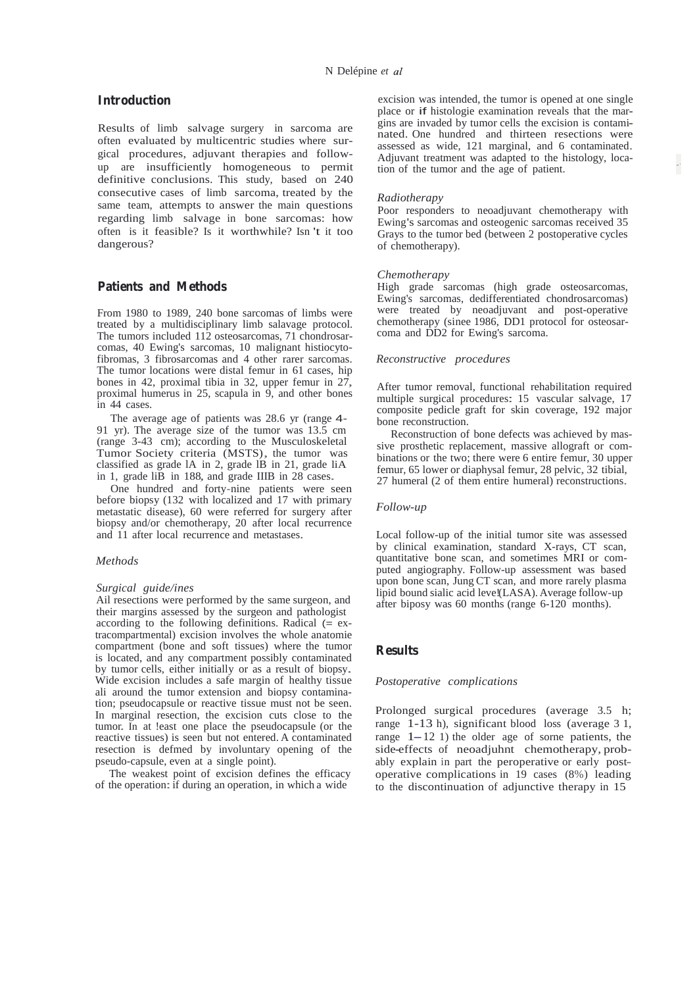### **Introduction**

Results of limb salvage surgery in sarcoma are often evaluated by multicentric studies where surgical procedures, adjuvant therapies and followup are insufficiently homogeneous to permit definitive conclusions. This study, based on 240 consecutive cases of limb sarcoma, treated by the same team, attempts to answer the main questions regarding limb salvage in bone sarcomas: how often is it feasible? Is it worthwhile? Isn 't it too dangerous?

### **Patients and Methods**

From 1980 to 1989, 240 bone sarcomas of limbs were treated by a multidisciplinary limb salavage protocol. The tumors included 112 osteosarcomas, 71 chondrosarcomas, 40 Ewing's sarcomas, 10 malignant histiocytofibromas, 3 fibrosarcomas and 4 other rarer sarcomas. The tumor locations were distal femur in 61 cases, hip bones in 42, proximal tibia in 32, upper femur in  $27$ , proximal humerus in 25, scapula in 9, and other bones in 44 cases.

The average age of patients was 28.6 yr (range 4- 91 yr). The average size of the tumor was 13.5 cm (range 3-43 cm); according to the Musculoskeletal Tumor Society criteria (MSTS), the tumor was classified as grade lA in 2, grade lB in 21, grade liA in 1, grade liB in 188, and grade IIIB in <sup>28</sup> cases.

One hundred and forty-nine patients were seen before biopsy (132 with localized and 17 with primary metastatic disease), 60 were referred for surgery after biopsy and/or chemotherapy, 20 after local recurrence and <sup>11</sup> after local recurrence and metastases.

### *Methods*

#### *Surgical guide/ines*

Ail resections were performed by the same surgeon, and their margins assessed by the surgeon and pathologist according to the following definitions. Radical  $(= \text{ex-}$ tracompartmental) excision involves the whole anatomie compartment (bone and soft tissues) where the tumor is located, and any compartment possibly contaminated by tumor cells, either initially or as <sup>a</sup> result of biopsy. Wide excision includes a safe margin of healthy tissue ali around the tumor extension and biopsy contamination; pseudocapsule or reactive tissue must not be seen. In marginal resection, the excision cuts close to the tumor. In at !east one place the pseudocapsule (or the reactive tissues) is seen but not entered. A contaminated resection is defmed by involuntary opening of the pseudo-capsule, even at <sup>a</sup> single point).

The weakest point of excision defines the efficacy of the operation: if during an operation, in which a wide

excision was intended, the tumor is opened at one single place or if histologie examination reveals that the margins are invaded by tumor cells the excision is contaminated. One hundred and thirteen resections were assessed as wide, 121 marginal, and <sup>6</sup> contaminated. Adjuvant treatment was adapted to the histology, location of the tumor and the age of patient.

#### *Radiotherapy*

Poor responders to neoadjuvant chemotherapy with Ewing's sarcomas and osteogenic sarcomas received 35 Grays to the tumor bed (between 2 postoperative cycles of chemotherapy).

#### *Chemotherapy*

High grade sarcomas (high grade osteosarcomas, Ewing's sarcomas, dedifferentiated chondrosarcomas) were treated by neoadjuvant and post-operative chemotherapy (sinee 1986, DD1 protocol for osteosarcoma and DD2 for Ewing's sarcoma.

### *Reconstructive procedures*

After tumor removal, functional rehabilitation required multiple surgical procedures: 15 vascular salvage, <sup>17</sup> composite pedicle graft for skin coverage, 192 major bone reconstruction.

Reconstruction of bone defects was achieved by massive prosthetic replacement, massive allograft or combinations or the two; there were 6 entire femur, 30 upper femur, <sup>65</sup> lower or diaphysal femur, <sup>28</sup> pelvic, <sup>32</sup> tibial, <sup>27</sup> humeral (2 of them entire humeral) reconstructions.

### *Follow-up*

Local follow-up of the initial tumor site was assessed by clinical examination, standard X-rays, CT scan, quantitative bone scan, and sometimes MRI or computed angiography. Follow-up assessment was based upon bone scan, Jung CT scan, and more rarely plasma lipid bound sialic acid leve!(LASA). Average follow-up after biposy was 60 months (range 6-120 months).

### **Results**

### *Postoperative complications*

Prolonged surgical procedures (average 3.5 h; range 1-13 h), significant blood loss (average 3 1, range  $1-12$  1) the older age of some patients, the side-effects of neoadjuhnt chemotherapy, probably explain in part the peroperative or early postoperative complications in 19 cases (8%) leading to the discontinuation of adjunctive therapy in 15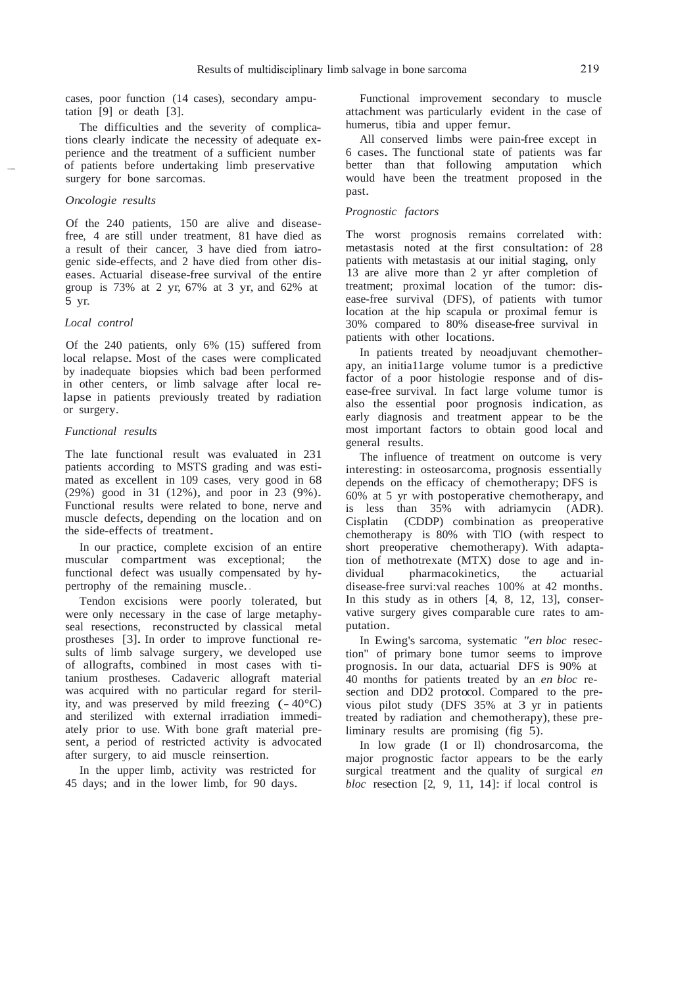cases, poor function (14 cases), secondary amputation [9] or death [3].

The difficulties and the severity of complications clearly indicate the necessity of adequate experience and the treatment of a sufficient number of patients before undertaking limb preservative surgery for bone sarcomas.

### *Oncologie results*

Of the 240 patients, 150 are alive and diseasefree, 4 are still under treatment, 81 have died as a result of their cancer, 3 have died from iatrogenic side-effects, and 2 have died from other diseases. Actuarial disease-free survival of the entire group is 73% at 2 yr, 67% at 3 yr, and 62% at <sup>5</sup> yr.

### *Local control*

Of the 240 patients, only 6% (15) suffered from local relapse. Most of the cases were complicated by inadequate biopsies which bad been performed in other centers, or limb salvage after local relapse in patients previously treated by radiation or surgery.

### *Functional results*

The late functional result was evaluated in 231 patients according to MSTS grading and was estimated as excellent in 109 cases, very good in 68 (29%) good in <sup>31</sup> (12%), and poor in <sup>23</sup> (9%). Functional results were related to bone, nerve and muscle defects, depending on the location and on the side-effects of treatment.

In our practice, complete excision of an entire muscular compartment was exceptional; the functional defect was usually compensated by hypertrophy of the remaining muscle..

Tendon excisions were poorly tolerated, but were only necessary in the case of large metaphyseal resections, reconstructed by classical metal prostheses [3]. In order to improve functional results of limb salvage surgery, we developed use of allografts, combined in most cases with titanium prostheses. Cadaveric allograft material was acquired with no particular regard for sterility, and was preserved by mild freezing  $(-40^{\circ}C)$ and sterilized with external irradiation immediately prior to use. With bone graft material present, a period of restricted activity is advocated after surgery, to aid muscle reinsertion.

In the upper limb, activity was restricted for 45 days; and in the lower limb, for 90 days.

Functional improvement secondary to muscle attachment was particularly evident in the case of humerus, tibia and upper femur.

All conserved limbs were pain-free except in <sup>6</sup> cases. The functional state of patients was far better than that following amputation would have been the treatment proposed in the past.

### *Prognostic factors*

The worst prognosis remains correlated with: metastasis noted at the first consultation: of <sup>28</sup> patients with metastasis at our initial staging, only 13 are alive more than 2 yr after completion of treatment; proximal location of the tumor: disease-free survival (DFS), of patients with tumor location at the hip scapula or proximal femur is 30% compared to 80% disease-free survival in patients with other locations.

In patients treated by neoadjuvant chemotherapy, an initia11arge volume tumor is a predictive factor of a poor histologie response and of disease-free survival. In fact large volume tumor is also the essential poor prognosis indication, as early diagnosis and treatment appear to be the most important factors to obtain good local and general results.

The influence of treatment on outcome is very interesting: in osteosarcoma, prognosis essentially depends on the efficacy of chemotherapy; DFS is 60% at 5 yr with postoperative chemotherapy, and is less than 35% with adriamycin (ADR). Cisplatin (CDDP) combination as preoperative chemotherapy is 80% with TlO (with respect to short preoperative chemotherapy). With adaptation of methotrexate (MTX) dose to age and individual pharmacokinetics, the actuarial disease-free survi:val reaches 100% at <sup>42</sup> months. In this study as in others [4, 8, 12, 13], conservative surgery gives comparable cure rates to amputation.

In Ewing's sarcoma, systematic *"en bloc* resection" of primary bone tumor seems to improve prognosis. In our data, actuarial DFS is 90% at 40 months for patients treated by an *.en bloc* resection and DD2 protocol. Compared to the previous pilot study (DFS 35% at 3 yr in patients treated by radiation and chemotherapy), these preliminary results are promising (fig 5).

In low grade (I or Il) chondrosarcoma, the major prognostic factor appears to be the early surgical treatment and the quality of surgical *en*   $bloc$  resection  $[2, 9, 11, 14]$ : if local control is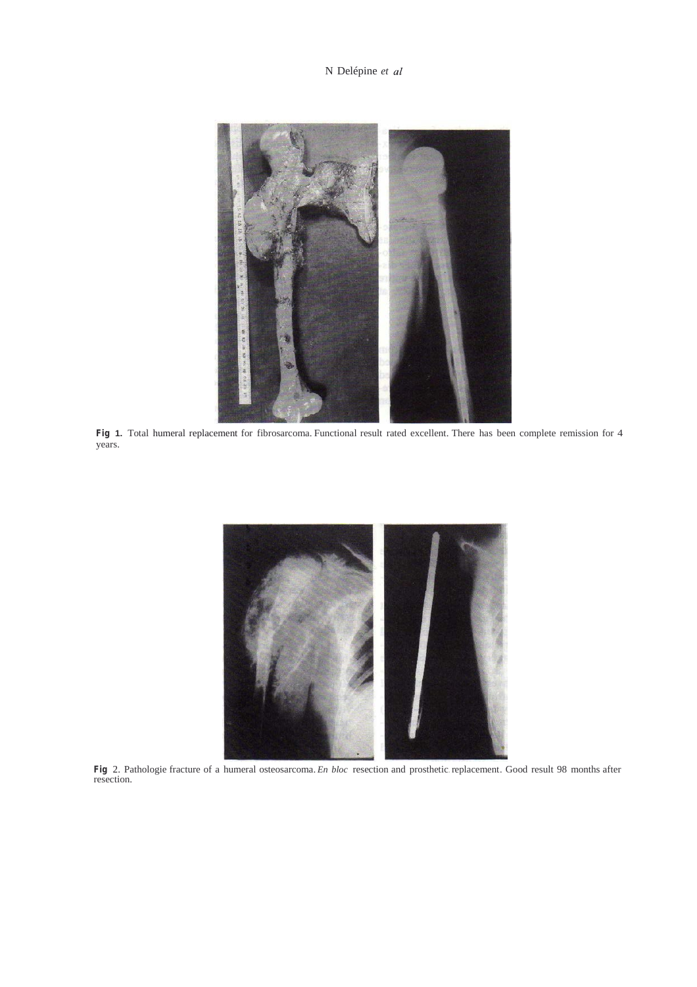N Delépine *et*



**Fig 1.** Total humeral replacement for fibrosarcoma. Functional result rated excellent. There has been complete remission for 4 years.



**Fig** 2. Pathologie fracture of <sup>a</sup> humeral osteosarcoma. *En bloc* resection and prosthetic. replacement. Good result <sup>98</sup> months after resection.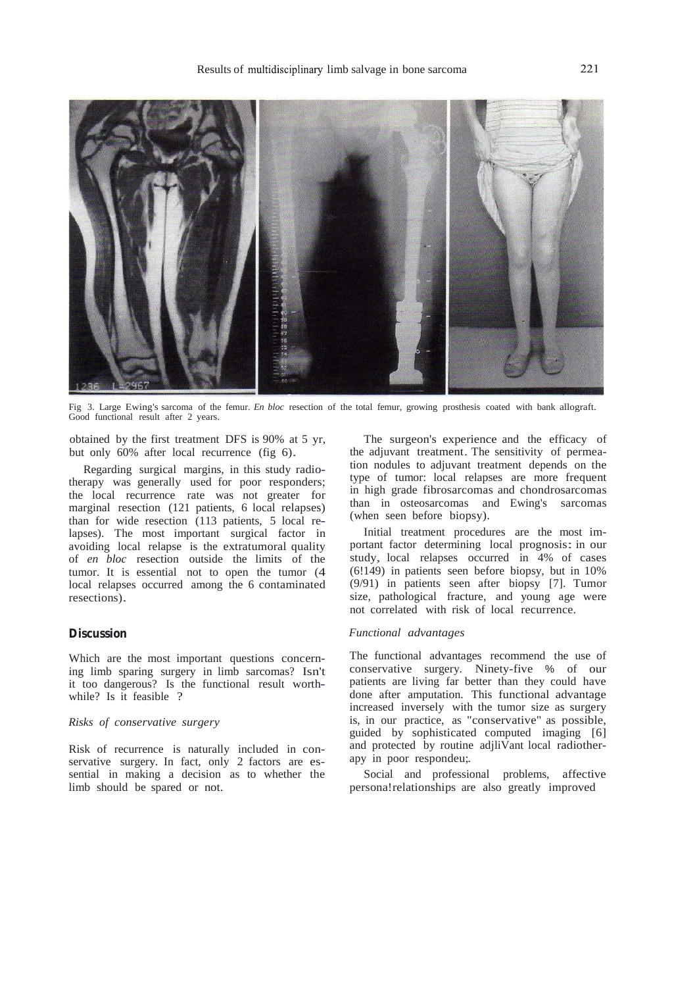

Fig 3. Large Ewing's sarcoma of the femur. *En bloc* resection of the total femur, growing prosthesis coated with bank allograft. Good functional result after 2 years.

obtained by the first treatment DFS is 90% at 5 yr, but only 60% after local recurrence (fig 6).

Regarding surgical margins, in this study radiotherapy was generally used for poor responders; the local recurrence rate was not greater for marginal resection (121 patients, 6 local relapses) than for wide resection (113 patients, 5 local relapses). The most important surgical factor in avoiding local relapse is the extratumoral quality of *en bloc* resection outside the limits of the tumor. It is essential not to open the tumor (4 local relapses occurred among the 6 contaminated resections).

### **Discussion**

Which are the most important questions concerning limb sparing surgery in limb sarcomas? Isn't it too dangerous? Is the functional result worthwhile? Is it feasible ?

### *Risks of conservative surgery*

Risk of recurrence is naturally included in conservative surgery. In fact, only 2 factors are essential in making a decision as to whether the limb should be spared or not.

The surgeon's experience and the efficacy of the adjuvant treatment. The sensitivity of permeation nodules to adjuvant treatment depends on the type of tumor: local relapses are more frequent in high grade fibrosarcomas and chondrosarcomas than in osteosarcomas and Ewing's sarcomas (when seen before biopsy).

Initial treatment procedures are the most important factor determining local prognosis: in our study, local relapses occurred in 4% of cases (6!149) in patients seen before biopsy, but in 10% (9/91) in patients seen after biopsy [7]. Tumor size, pathological fracture, and young age were not correlated with risk of local recurrence.

### *Functional advantages*

The functional advantages recommend the use of conservative surgery. Ninety-five % of our patients are living far better than they could have done after amputation. This functional advantage increased inversely with the tumor size as surgery is, in our practice, as "conservative" as possible, guided by sophisticated computed imaging [6] and protected by routine adjliVant local radiotherapy in poor respondeu;.

Social and professional problems, affective persona!relationships are also greatly improved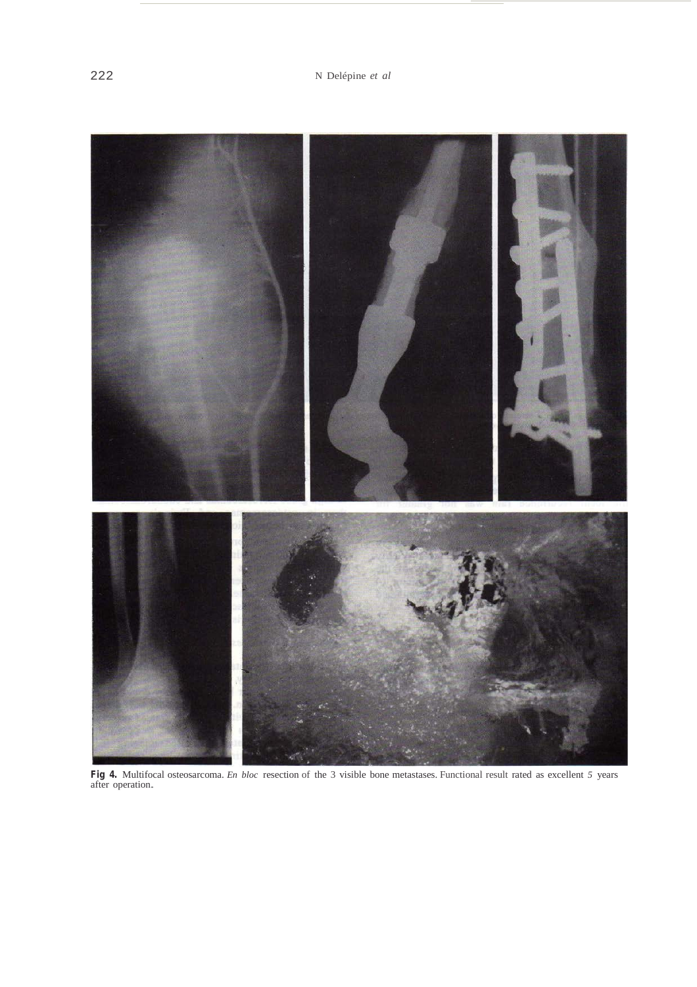

**Fig 4.** Multifocal osteosarcoma. *En bloc* resection of the 3 visible bone metastases. Functional result rated as excellent *5* years after operation.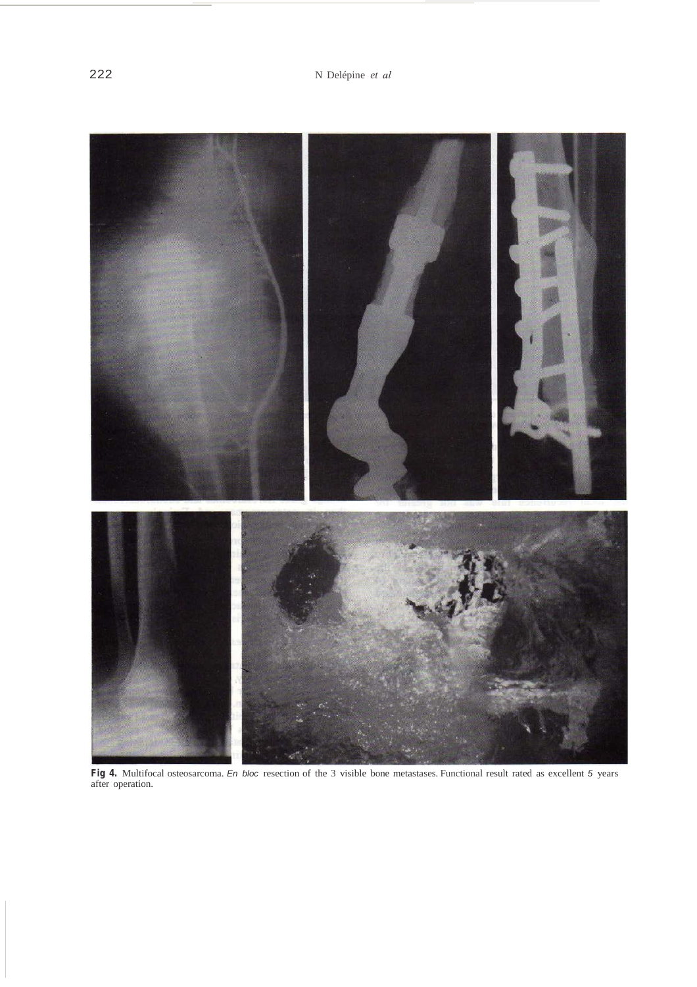

**Fig 4.** Multifocal osteosarcoma. *En bloc* resection of the 3 visible bone metastases. Functional result rated as excellent *5* years after operation.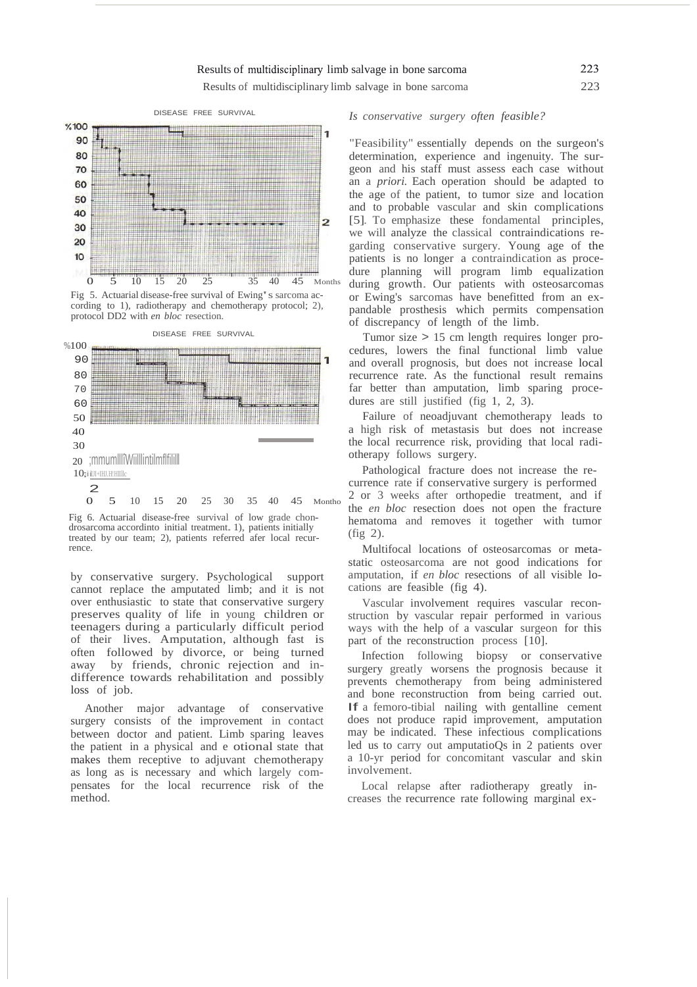### Results of multidisciplinary limb salvage in bone sarcoma

Results of multidisciplinary limb salvage in bone sarcoma 223



Fig 5. Actuarial disease-free survival of Ewing's sarcoma according to 1), radiotherapy and chemotherapy protocol; 2), protocol DD2 with *en bloc* resection.



Fig 6. Actuarial disease-free survival of low grade chondrosarcoma accordinto initial treatment.1), patients initially treated by our team; 2), patients referred afer local recurrence.

by conservative surgery. Psychological support cannot replace the amputated limb; and it is not over enthusiastic to state that conservative surgery preserves quality of life in young children or teenagers during a particularly difficult period of their lives. Amputation, although fast is often followed by divorce, or being turned away by friends, chronic rejection and indifference towards rehabilitation and possibly loss of job.

Another major advantage of conservative surgery consists of the improvement in contact between doctor and patient. Limb sparing leaves the patient in a physical and e otional state that makes them receptive to adjuvant chemotherapy as long as is necessary and which largely compensates for the local recurrence risk of the method.

#### *Is conservative surgery often feasible?*

"Feasibility" essentially depends on the surgeon's determination, experience and ingenuity. The surgeon and his staff must assess each case without an a *priori.* Each operation should be adapted to the age of the patient, to tumor size and location and to probable vascular and skin complications [5]. To emphasize these fondamental principles, we will analyze the classical contraindications regarding conservative surgery. Young age of the patients is no longer a contraindication as procedure planning will program limb equalization during growth. Our patients with osteosarcomas or Ewing's sarcomas have benefitted from an expandable prosthesis which permits compensation of discrepancy of length of the limb.

Tumor size > 15 cm length requires longer procedures, lowers the final functional limb value and overall prognosis, but does not increase local recurrence rate. As the functional result remains far better than amputation, limb sparing procedures are still justified (fig 1, 2, 3).

Failure of neoadjuvant chemotherapy leads to a high risk of metastasis but does not increase the local recurrence risk, providing that local radiotherapy follows surgery.

Pathological fracture does not increase the recurrence rate if conservative surgery is performed 2 or 3 weeks after orthopedie treatment, and if the *en bloc* resection does not open the fracture hematoma and removes it together with tumor (fig 2).

Multifocal locations of osteosarcomas or metastatic osteosarcoma are not good indications for amputation, if *en bloc* resections of all visible locations are feasible (fig 4).

Vascular involvement requires vascular reconstruction by vascular repair performed in various ways with the help of a vascular surgeon for this part of the reconstruction process [10].

Infection following biopsy or conservative surgery greatly worsens the prognosis because it prevents chemotherapy from being administered and bone reconstruction from being carried out. If <sup>a</sup> femoro-tibial nailing with gentalline cement does not produce rapid improvement, amputation may be indicated. These infectious complications led us to carry out amputatioQs in 2 patients over a 10-yr period for concomitant vascular and skin involvement.

Local relapse after radiotherapy greatly increases the recurrence rate following marginal ex